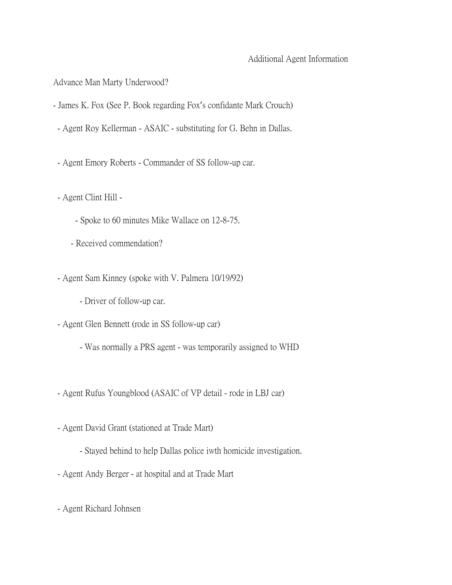## Additional Agent Information

Advance Man Marty Underwood?

- James K. Fox (See P. Book regarding Fox's confidante Mark Crouch)
- Agent Roy Kellerman ASAIC substituting for G. Behn in Dallas.
- Agent Emory Roberts Commander of SS follow-up car.
- Agent Clint Hill
	- Spoke to 60 minutes Mike Wallace on 12-8-75.
	- Received commendation?
- Agent Sam Kinney (spoke with V. Palmera 10/19/92)
	- Driver of follow-up car.
- Agent Glen Bennett (rode in SS follow-up car)
	- Was normally a PRS agent was temporarily assigned to WHD
- Agent Rufus Youngblood (ASAIC of VP detail rode in LBJ car)
- Agent David Grant (stationed at Trade Mart)
	- Stayed behind to help Dallas police iwth homicide investigation.
- Agent Andy Berger at hospital and at Trade Mart
- Agent Richard Johnsen